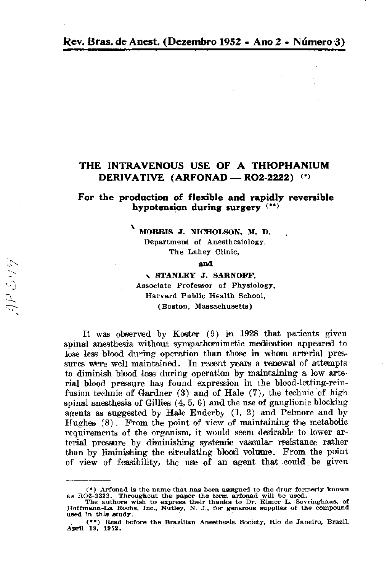### THE INTRAVENOUS USE OF A THIOPHANIUM DERIVATIVE (ARFONAD — RO2-2222) (\*)

For the production of flexible and rapidly reversible hypotension during surgery (\*\*)

MORRIS J. NICHOLSON, M. D.

Department of Anesthesiology, The Lahey Clinic,

### and

いっつ

**STANLEY J. SARNOFF,** Associate Professor of Physiology, Harvard Public Health School,

(Boston, Massachusetts)

It was observed by Koster (9) in 1928 that patients given spinal anesthesia without sympathomimetic medication appeared to lose less blood during operation than those in whom arterial pressures were well maintained. In recent years a renewal of attempts to diminish blood loss during operation by maintaining a low arterial blood pressure has found expression in the blood-letting-reinfusion technic of Gardner  $(3)$  and of Hale  $(7)$ , the technic of high spinal anesthesia of Gillies  $(4, 5, 6)$  and the use of ganglionic blocking agents as suggested by Hale Enderby  $(1, 2)$  and Pelmore and by Hughes  $(8)$ . From the point of view of maintaining the metabolic requirements of the organism, it would seem desirable to lower arterial pressure by diminishing systemic vascular resistance rather than by liminishing the circulating blood volume. From the point of view of feasibility, the use of an agent that could be given

 $(*)$  Arfonad is the name that has been assigned to the drug formerly known as RO2-2222. Throughout the paper the term arfonad will be used.

The authors wish to express their thanks to Dr. Elmer L. Sevringhaus, of Hoffmann-La Roche, Inc., Nutley, N. J., for generous supplies of the compound used in this study.

<sup>(\*\*)</sup> Read before the Brazilian Anesthesia Society, Rio de Janeiro, Brazil, April 19, 1952.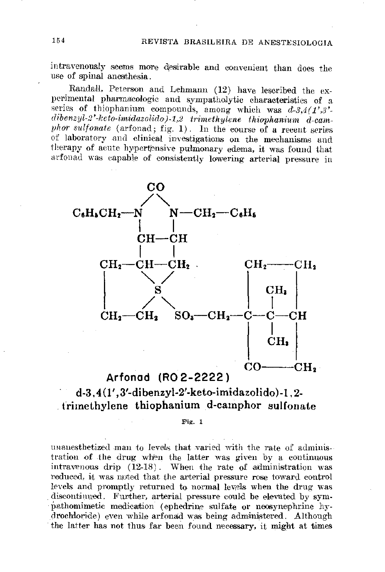intravenously seems more desirable and convenient than does the use of spinal anesthesia.

Randall, Peterson and Lehmann (12) have lescribed the experimental pharmacologic and sympatholytic characteristics of a series of thiophanium compounds, among which was  $d-3, 4(1',3')$ .  $dibenzyl-2' - keto-imidazolido) - 1,2-trimethylene-thiophanium-d-cam$ phor sulfonate (arfonad; fig.  $1$ ). In the course of a recent series of laboratory and clinical investigations on the mechanisms and therapy of acute hypertensive pulmonary edema, it was found that arfonad was capable of consistently lowering arterial pressure in



### $d-3, 4(1', 3'-dibenzyl-2'-keto-imidazolido)-1, 2$ trimethylene thiophanium d-camphor sulfonate

Fig.  $1$ 

unanesthetized man to levels that varied with the rate of administration of the drug when the latter was given by a continuous intravenous drip  $(12-18)$ . When the rate of administration was reduced, it was noted that the arterial pressure rose toward control levels and promptly returned to normal levels when the drug was discontinued. Further, arterial pressure could be elevated by sympathomimetic medication (ephedrine sulfate or neosynephrine hydrochloride) even while arfonad was being administered. Although the latter has not thus far been found necessary, it might at times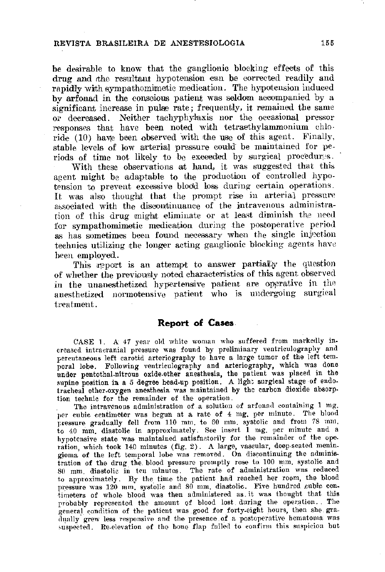be desirable to know that the ganglionic blocking effects of this drug and the resultant hypotension can be corrected readily and rapidly with sympathomimetic medication. The hypotension induced by arfonad in the conscious patient was seldom accompanied by a significant increase in pulse rate; frequently, it remained the same or decreased. Neither tachyphylaxis nor the occasional pressor responses that have been noted with tetraethylammonium chloride (10) have been observed with the use of this agent. Finally, stable levels of low arterial pressure could be maintained for periods of time not likely to be exceeded by surgical procedures.

With these observations at hand, it was suggested that this agent might be adaptable to the production of controlled hypotension to prevent excessive blood loss during certain operations. It was also thought that the prompt rise in arterial pressure associated with the discontinuance of the intravenous administration of this drug might eliminate or at least diminish the need for sympathomimetic medication during the postoperative period as has sometimes been found necessary when the single injection technics utilizing the longer acting ganglionic blocking agents have been employed.

This report is an attempt to answer partially the question of whether the previously noted characteristics of this agent observed in the unanesthetized hypertensive patient are operative in the anesthetized normotensive patient who is undergoing surgical

treatment.

### **Report of Cases**

CASE 1. A 47 year old white woman who suffered from markedly increased intracranial pressure was found by preliminary ventriculography and percutaneous left carotid arteriography to have a large tumor of the left temporal lobe. Following ventriculography and arteriography, which was done under pentothal-nitrous oxide-ether anesthesia, the patient was placed in the supine position in a 5 degree head-up position. A light surgical stage of endotracheal ether-oxygen anesthesia was maintained by the carbon dioxide absorption technic for the remainder of the operation.

The intravenous administration of a solution of arfonad containing 1 mg. per cubic centimeter was begun at a rate of 4 mg. per minute. The blood pressure gradually fell from 110 mm, to 60 mm, systolic and from 78 mm, to 40 mm, diastolic in approximately. See insert 1 mg, per minute and a hypotensive state was maintained satisfactorily for the remainder of the operation, which took 140 minutes (fig. 2). A large, vascular, deep-seated meningioma of the left temporal lobe was removed. On discontinuing the administration of the drug the blood pressure promptly rose to 100 mm, systolic and 80 mm. diastolic in ten minutes. The rate of administration was reduced to approximately. By the time the patient had reached her room, the blood pressure was 120 mm. systolic and 80 mm. diastolic. Five hundred cubic centimeters of whole blood was then administered as it was thought that this probably represented the amount of blood lost during the operation. The general condition of the patient was good for forty-eight hours, then she gradually grew less responsive and the presence of a postoperative hematoma was suspected. Re-elevation of the bone flap failed to confirm this suspicion but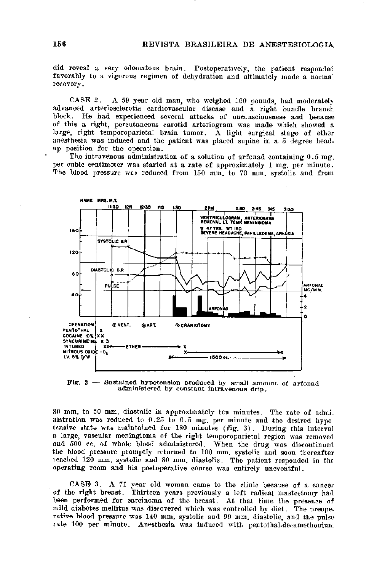did reveal a very edematous brain. Postoperatively, the patient responded favorably to a vigorous regimen of dehydration and ultimately made a normal recovery.

CASE 2. A 59 year old man, who weighed 160 pounds, had moderately advanced arteriosclerotic cardiovascular disease and a right bundle branch block. He had experienced several attacks of unconsciousness and because of this a right, percutaneous carotid arteriogram was made which showed a large, right temporoparietal brain tumor. A light surgical stage of ether anesthesia was induced and the patient was placed supine in a 5 degree head. up position for the operation.

The intravenous administration of a solution of arfonad containing 0.5 mg. per cubic centimeter was started at a rate of approximately 1 mg, per minute. The blood pressure was reduced from 150 mm, to 70 mm, systolic and from



Fig.  $2$  - Sustained hypotension produced by small amount of arfonad administered by constant intravenous drip.

80 mm, to 50 mm, diastolic in approximately ten minutes. The rate of administration was reduced to 0.25 to 0.5 mg. per minute and the desired hypotensive state was maintained for 180 minutes (fig. 3). During this interval a large, vascular meningioma of the right temporoparietal region was removed and 500 cc. of whole blood administered. When the drug was discontinued the blood pressure promptly returned to 100 mm, systolic and soon thereafter reached 120 mm, systolic and 80 mm, diastolic. The patient responded in the operating room and his postoperative course was entirely uneventful.

CASE 3. A 71 year old woman came to the clinic because of a cancer of the right breast. Thirteen years previously a left radical mastectomy had been performed for carcinoma of the breast. At that time the presence of mild diabetes mellitus was discovered which was controlled by diet. The preoperative blood pressure was 140 mm, systolic and 90 mm, diastolic, and the pulse rate 100 per minute. Anesthesia was induced with pentothal-decamethonium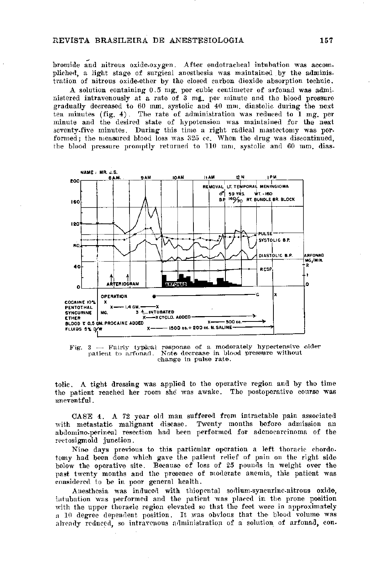bromide and nitrous oxide-oxygen. After endotracheal intubation was accompliched, a light stage of surgical anesthesia was maintained by the administration of nitrous oxide-ether by the closed carbon dioxide absorption technic.

A solution containing 0.5 mg per cubic centimeter of arfonad was administered intravenously at a rate of 3 mg, per minute and the blood pressure gradually decreased to 60 mm, systolic and 40 mm, diastolic during the next ten minutes (fig. 4). The rate of administration was reduced to  $1$  mg, per minute and the desired state of hypotension was maintained for the next seventy-five minutes. During this time a right radical mastectomy was performed; the measured blood loss was 325 cc. When the drug was discontinued, the blood pressure promptly returned to 110 mm, systolic and 60 mm, dias-



Fig.  $3$  - Fairly typical response of a moderately hypertensive older patient to arfonad. Note decrease in blood pressure without change in pulse rate.

tolic. A tight dressing was applied to the operative region and by the time the patient reached her room she was awake. The postoperative course was uneventful.

CASE 4. A 72 year old man suffered from intractable pain associated with metastatic malignant disease. Twenty months before admission an abdomino-perineal resection had been performed for adenocarcinoma of the rectosigmoid junction.

Nine days previous to this particular operation a left thoracic chordo. tomy had been done which gave the patient relief of pain on the right side below the operative site. Because of loss of 25 pounds in weight over the past twenty months and the presence of moderate anemia, this patient was considered to be in poor general health.

Anesthesia was induced with thiopental sodium-syncurine-nitrous oxide, intubation was performed and the patient was placed in the prone position with the upper thoracic region elevated so that the feet were in approximately a 10 degree dependent position. It was obvious that the blood volume was already reduced, so intravenous administration of a solution of arfonad, con.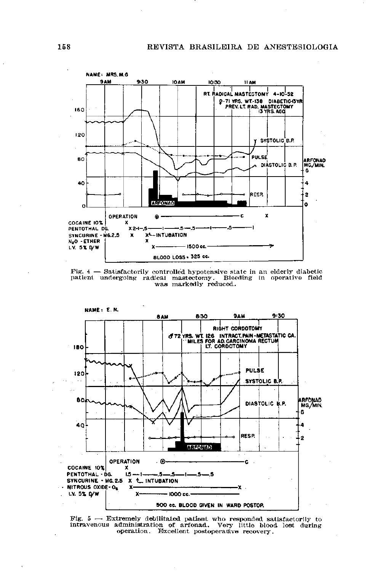REVISTA BRASILEIRA DE ANESTESIOLOGIA



Fig.  $4$  - Satisfactorily controlled hypotensive state in an elderly diabetic patient undergoing radical mastectomy. Bleeding in operative field was markedly reduced.

NAME: E.N.



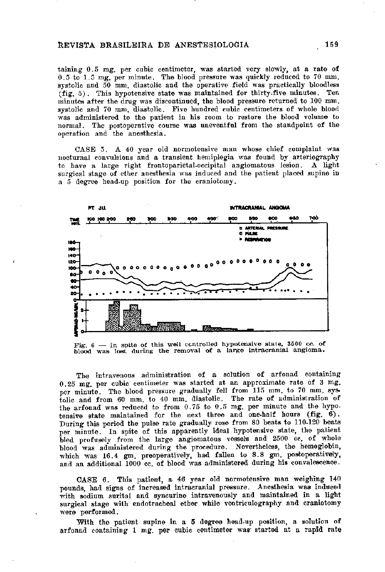taining 0.5 mg, per cubic centimeter, was started very slowly, at a rate of 0.5 to 1.5 mg, per minute. The blood pressure was quickly reduced to 70 mm. systolic and 50 mm. diastolic and the operative field was practically bloodless  $(fig. 5)$ . This hypotensive state was maintained for thirty-five minutes. Ten minutes after the drug was discontinued, the blood pressure returned to 100 mm. systolic and 70 mm, diastolic. Five hundred cubic centimeters of whole blood was administered to the patient in his room to restore the blood volume to normal. The postoperative course was uneventful from the standpoint of the operation and the anesthesia.

CASE 5. A 40 year old normotensive man whose chief complaint was nocturnal convulsions and a transient hemiplegia was found by arteriography to have a large right frontoparietal-occipital angiomatous lesion. A light surgical stage of ether anesthesia was induced and the patient placed supine in a 5 degree head-up position for the craniotomy.



Fig.  $6$  -- In spite of this well controlled hypotensive state, 3500 cc. of blood was lost during the removal of a large intracranial angioma.

The intravenous administration of a solution of arfonad containing  $0.25$  mg, per cubic centimeter was started at an approximate rate of 3 mg. per minute. The blood pressure gradually fell from 115 mm to 70 mm systolic and from 60 mm, to 40 mm, diastolic. The rate of administration of the arfonad was reduced to from 0.75 to 0.5 mg. per minute and the hypotensive state maintained for the next three and one-half hours (fig.  $6$ ). During this period the pulse rate gradually rose from 80 beats to 110-120 beats per minute. In spite of this apparently ideal hypotensive state, the patient bled profusely from the large angiomatous vessels and 2500 cc. of whole blood was administered during the procedure. Nevertheless, the hemoglobin, which was 16.4 gm. preoperatively, had fallen to 8.8 gm. postoperatively, and an additional 1000 cc. of blood was administered during his convalescence.

CASE 6. This patient, a 46 year old normotensive man weighing 140 pounds, had signs of increased intracranial pressure. Anesthesia was induced with sodium surital and syncurine intravenously and maintained in a light surgical stage with endotracheal ether while ventriculography and craniotomy were performed.

With the patient supine in a 5 degree head-up position, a solution of arfonad containing 1 mg, per cubic centimeter was started at a rapid rate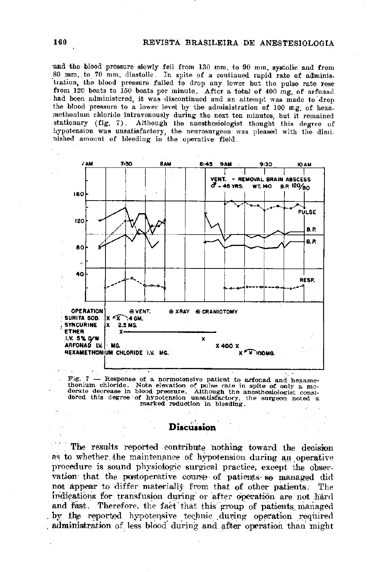and the blood pressure slowly fell from 130 mm, to 90 mm, systolic and from 80 mm. to 70 mm. diastolic. In spite of a continued rapid rate of administration, the blood pressure failed to drop any lower but the pulse rate rose from 120 beats to 150 beats per minute. After a total of 400 mg, of arfonad had been administered, it was discontinued and an attempt was made to drop the blood pressure to a lower level by the administration of 100 mg of hexamethonium chloride intravenously during the next ten minutes, but it remained stationary (fig. 7). Although the anesthesiologist thought this degree of hypotension was unsatisfactory, the neurosurgeon was pleased with the diminished amount of bleeding in the operative field.



Fig.  $7$  -- Response of a normotensive patient to arfonad and hexamethonium chloride. Note elevation of pulse rate in spite of only a moderate decrease in blood pressure. Although the anesthesiologist considered this degree of hypotension unsatisfactory, the surgeon noted a marked reduction in bleeding.

The results reported contribute nothing toward the decision as to whether the maintenance of hypotension during an operative procedure is sound physiologic surgical practice, except the observation that the postoperative course of patients so managed did not appear to differ materially from that of other patients. The indications for transfusion during or after operation are not hard and fast. Therefore, the fact that this group of patients managed by the reported hypotensive technic during operation required administration of less blood during and after operation than might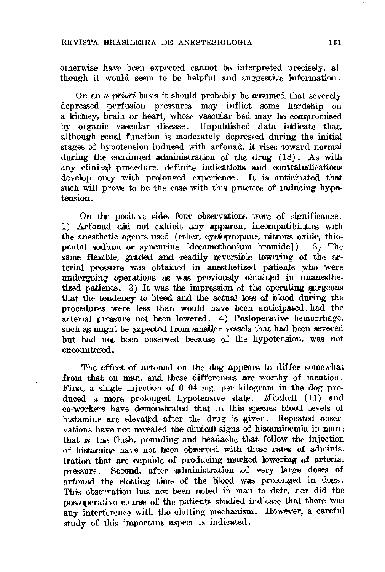### REVISTA BRASILEIRA DE ANESTESIOLOGIA

otherwise have been expected cannot be interpreted precisely, although it would seem to be helpful and suggestive information.

On an a priori basis it should probably be assumed that severely depressed perfusion pressures may inflict some hardship on a kidney, brain or heart, whose vascular bed may be compromised by organic vascular disease. Unpublished data indicate that, although renal function is moderately depressed during the initial stages of hypotension induced with arfonad, it rises toward normal during the continued administration of the drug  $(18)$ . As with any clinical procedure, definite indications and contraindications develop only with prolonged experience. It is anticipated that such will prove to be the case with this practice of inducing hypotension.

On the positive side, four observations were of significance. 1) Arfonad did not exhibit any apparent incompatibilities with the anesthetic agents used (ether, cyclopropane, nitrous oxide, thiopental sodium or syncurine  $[de {\rm de}$  camethonium bromide]). 2) The same flexible, graded and readily reversible lowering of the arterial pressure was obtained in anesthetized patients who were undergoing operations as was previously obtained in unanesthetized patients. 3) It was the impression of the operating surgeons that the tendency to bleed and the actual loss of blood during the procedures were less than would have been anticipated had the arterial pressure not been lowered. 4) Postoperative hemorrhage, such as might be expected from smaller vessels that had been severed but had not been observed because of the hypotension, was not encountered.

The effect of arfonad on the dog appears to differ somewhat from that on man, and these differences are worthy of mention. First, a single injection of 0.04 mg. per kilogram in the dog produced a more prolonged hypotensive state. Mitchell (11) and co-workers have demonstrated that in this species blood levels of histamine are elevated after the drug is given. Repeated observations have not revealed the clinical signs of histaminemia in man; that is, the flush, pounding and headache that follow the injection of histamine have not been observed with those rates of administration that are capable of producing marked lowering of arterial pressure. Second, after administration of very large doses of arfonad the clotting time of the blood was prolonged in dogs. This observation has not been noted in man to date, nor did the postoperative course of the patients studied indicate that there was any interference with the clotting mechanism. However, a careful study of this important aspect is indicated.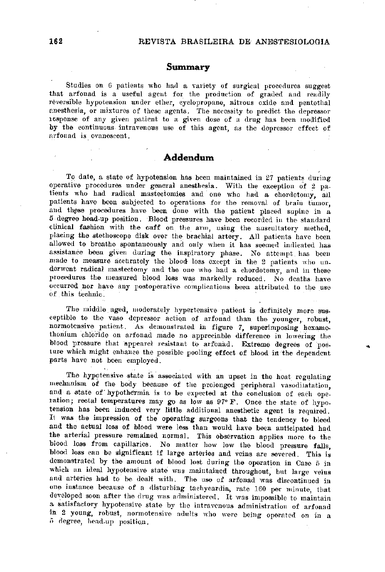### Summary

Studies on 6 patients who had a variety of surgical procedures suggest that arfonad is a useful agent for the production of graded and readily reversible hypotension under ether, cyclopropane, nitrous oxide and pentothal anesthesia, or mixtures of these agents. The necessity to predict the depressor response of any given patient to a given dose of a drug has been modified by the continuous intravenous use of this agent, as the depressor effect of arfonad is evanescent.

### Addendum

To date, a state of hypotension has been maintained in 27 patients during operative procedures under general anesthesia. With the exception of 2 patients who had radical mastectomies and one who had a chordotomy, all patients have been subjected to operations for the removal of brain tumor. and these procedures have been done with the patient placed supine in a 5 degree head-up position. Blood pressures have been recorded in the standard clinical fashion with the cuff on the arm, using the auscultatory method, placing the stethoscope disk over the brachial artery. All patients have been allowed to breathe spontaneously and only when it has seemed indicated has assistance been given during the inspiratory phase. No attempt has been made to measure accurately the blood loss except in the 2 patients who underwent radical mastectomy and the one who had a chordotomy, and in these procedures the measured blood loss was markedly reduced. No deaths have occurred nor have any postoperative complications been attributed to the use of this technic.

The middle aged, moderately hypertensive patient is definitely more susceptible to the vaso depressor action of arfonad than the younger, robust, normotensive patient. As demonstrated in figure 7, superimposing hexamethonium chloride on arfonad made no appreciable difference in lowering the blood pressure that appearel resistant to arfonad. Extreme degrees of posture which might enhance the possible pooling effect of blood in the dependent parts have not been employed.

The hypotensive state is associated with an upset in the heat regulating mechanism of the body because of the prolonged peripheral vasodilatation, and a state of hypothermia is to be expected at the conclusion of each operation; rectal temperatures may go as low as 97° F. Once the state of hypotension has been induced very little additional anesthetic agent is required. It was the impression of the operating surgeons that the tendency to bleed and the actual loss of blood were less than would have been anticipated had the arterial pressure remained normal. This observation applies more to the blood loss from capillaries. No matter how low the blood pressure falls, blood loss can be significant if large arteries and veins are severed. This is demonstrated by the amount of blood lost during the operation in Case 5 in which an ideal hypotensive state was maintained throughout, but large veins and arteries had to be dealt with. The use of arfonad was discontinued in one instance because of a disturbing tachycardia, rate 160 per minute, that developed soon after the drug was administered. It was impossible to maintain a satisfactory hypotensive state by the intravenous administration of arfonad in 2 young, robust, normotensive adults who were being operated on in a 5 degree, head-up position.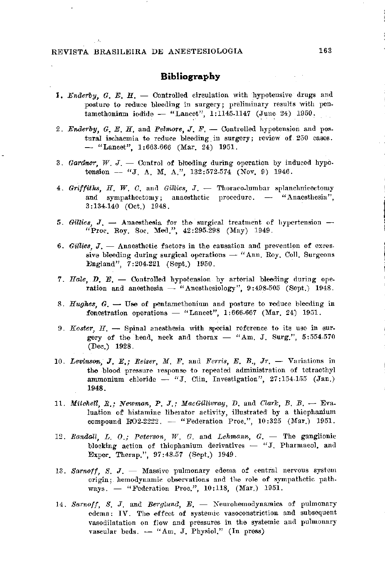### REVISTA BRASILEIRA DE ANESTESIOLOGIA

 $\sim 25$ 

### **Bibliography**

- 1. Enderby, G. E. H. Controlled circulation with hypotensive drugs and posture to reduce bleeding in surgery; preliminary results with pentamethonium iodide -- "Lancet", 1:1145-1147 (June 24) 1950.
- 2. Enderby, G. E. H. and Pelmore, J. F. Controlled hypotension and postural ischaemia to reduce bleeding in surgery; review of 250 cases.  $-$  "Lancet", 1:663.666 (Mar. 24) 1951.
- 3. Gardner, W. J. Control of bleeding during operation by induced hypotension -- "J, A, M, A,", 132:572-574 (Nov. 9) 1946.
- 4. Griffiths, H. W. C. and Gillies, J. Thoraco-lumbar splanch incertomy and sympathectomy; anaesthetic procedure. -- "Anaesthesia",  $3:134.140$  (Oct.) 1948.
- 5. Gillies,  $J.$  Anaesthesia for the surgical treatment of hypertension -"Proc. Roy. Soc. Med.", 42:295-298 (May) 1949.
- 6. Gillies,  $J.$  Anaesthetic factors in the causation and prevention of excessive bleeding during surgical operations  $-$  "Ann. Roy. Coll. Surgeons England", 7:204-221 (Sept.) 1950.
- 7. Hale, D. E. Controlled hypotension by arterial bleeding during operation and anesthesia  $-$  "Anesthesiology", 9:498-505 (Sept.) 1948.

- 8. Hughes,  $G.$  Use of pentamethonium and posture to reduce bleeding in fenestration operations  $-$  "Lancet", 1:666-667 (Mar. 24) 1951.
- 9. Koster,  $H_1$  Spinal anesthesia with special reference to its use in surgery of the head, neck and thorax  $-$  "Am. J. Surg.",  $5:554.570$  $(Dec.) 1928.$
- 10. Levinson, J. E.; Reiser, M. F. and Ferris, E. B.,  $Jr.$  Variations in the blood pressure response to repeated administration of tetraethyl ammonium chloride -- "J. Clin. Investigation", 27:154-155 (Jan.) 1948.
- 11. Mitchell, R.; Newman, P. J.; MacGillivray, D. and Clark, B. B.  $\rightarrow$  Evaluation of histamine liberator activity, illustrated by a thiophanium compound RO2-2222.  $-$  "Federation Proc.", 10:325 (Mar.) 1951.
- 12. Randall, L. O.; Peterson, W. G. and Lehmann, G. The ganglionic blocking action of thiophanium derivatives  $-$  "J. Pharmacol. and Exper. Therap.", 97:48.57 (Sept.) 1949.
- 13. Sarnoff, S. J. Massive pulmonary edema of central nervous system origin; hemodynamic observations and the role of sympathetic pathways.  $-$  "Federation Proc.", 10:118,  $(Mar.)$  1951.
- 14. Sarnoff, S. J. and Berglund,  $E$ .  $\sim$  Neurohemodynamics of pulmonary edema: IV. The effect of systemic vasoconstriction and subsequent vasodilatation on flow and pressures in the systemic and pulmonary vascular beds.  $-$  "Am. J. Physiol." (In press)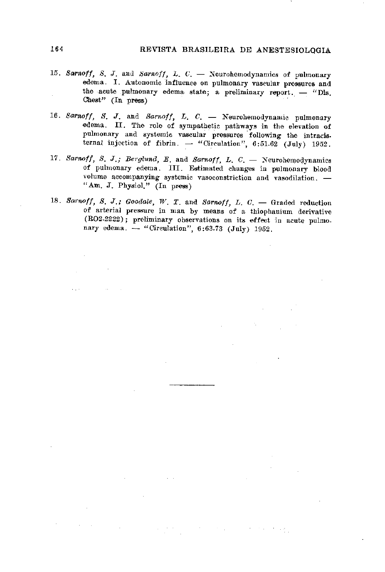- 15. Sarnoff, S. J. and Sarnoff, L. C. Neurohemodynamics of pulmonary edema. I. Autonomic influence on pulmonary vascular pressures and the acute pulmonary edema state; a preliminary report. - "Dis. Chest"  $(In$  press)
- 16. Sarnoff, S. J. and Sarnoff, L. C. Neurohemodynamic pulmonary edema. II. The role of sympathetic pathways in the elevation of pulmonary and systemic vascular pressures following the intracisternal injection of fibrin.  $-$  "Circulation", 6:51-62 (July) 1952.
- 17. Sarnoff, S. J.; Berglund, E. and Sarnoff, L. C. Neurohemodynamics of pulmonary edema. III. Estimated changes in pulmonary blood volume accompanying systemic vasoconstriction and vasodilation. -"Am. J. Physiol." (In press)
- 18. Sarnoff, S. J.; Goodale, W. T. and Sarnoff, L. C. Graded reduction of arterial pressure in man by means of a thiophanium derivative (RO2-2222); preliminary observations on its effect in acute pulmonary edema.  $-$  "Circulation", 6:63.73 (July) 1952.

and with the control of the control of

 $\mathcal{L}(\mathcal{L}(\mathcal{L}(\mathcal{L}(\mathcal{L}(\mathcal{L}(\mathcal{L}(\mathcal{L}(\mathcal{L}(\mathcal{L}(\mathcal{L}(\mathcal{L}(\mathcal{L}(\mathcal{L}(\mathcal{L}(\mathcal{L}(\mathcal{L}(\mathcal{L}(\mathcal{L}(\mathcal{L}(\mathcal{L}(\mathcal{L}(\mathcal{L}(\mathcal{L}(\mathcal{L}(\mathcal{L}(\mathcal{L}(\mathcal{L}(\mathcal{L}(\mathcal{L}(\mathcal{L}(\mathcal{L}(\mathcal{L}(\mathcal{L}(\mathcal{L}(\mathcal{L}(\mathcal{$ 

 $\label{eq:2.1} \mathcal{L}(\mathcal{L}(\mathcal{L})) = \mathcal{L}(\mathcal{L}(\mathcal{L})) = \mathcal{L}(\mathcal{L}(\mathcal{L})) = \mathcal{L}(\mathcal{L}(\mathcal{L}))$ 

 $\mathcal{L}(\mathcal{A})$  and  $\mathcal{L}(\mathcal{A})$  . The set of  $\mathcal{L}(\mathcal{A})$ 

a de la construcción de la construcción de la construcción de la construcción de la construcción de la constru<br>En 1930, el construcción de la construcción de la construcción de la construcción de la construcción de la con

 $\label{eq:2.1} \mathcal{L}(\mathcal{L}(\mathcal{L})) = \mathcal{L}(\mathcal{L}(\mathcal{L})) = \mathcal{L}(\mathcal{L}(\mathcal{L})) = \mathcal{L}(\mathcal{L}(\mathcal{L})) = \mathcal{L}(\mathcal{L}(\mathcal{L}))$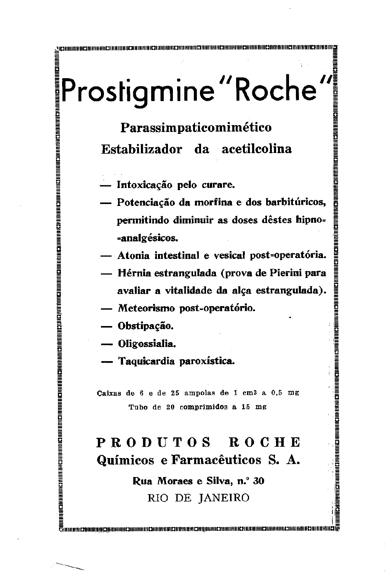# Prostigmine "Roche"<br>
Prostigmine "Roche"<br>
Prostigmine "Roche"<br>
Prostigmine "Roche"<br>
Estabilizador da acetilcolina<br>
— Intoxicação pelo curare.<br>
— Potenciação da morfina e dos barbitúricos<br>
permitindo diminuir as doses dêste

- 
- Potenciação da morfina e dos barbitúricos, permitindo diminuir as doses dêstes hipno-

**EN HEIGHT AND HE SEE ASSESSED AND AN ALL SEEMS IN A SEE ASSESSED ASSESSED ASSESSED AND A LOCAL PROPERTY AND A** 

**RANGESHIRAN NA SERIA NGC** 

- Atonia intestinal e vesical post-operatória.
- Hérnia estrangulada (prova de Pierini para avaliar a vitalidade da alça estrangulada).

- 
- 
- 

## avaliar a vitalidade da alça estrangulada).<br>
— Meteorismo post-operatório.<br>
— Obstipação.<br>
— Oligossialia.<br>
— Taquicardia paroxística.<br>
Catxas de 6 e de 25 ampolas de 1 cm<sup>3</sup> a 0,5 mg<br>
Tubo de 20 comprimidos a 15 mg<br>
PROD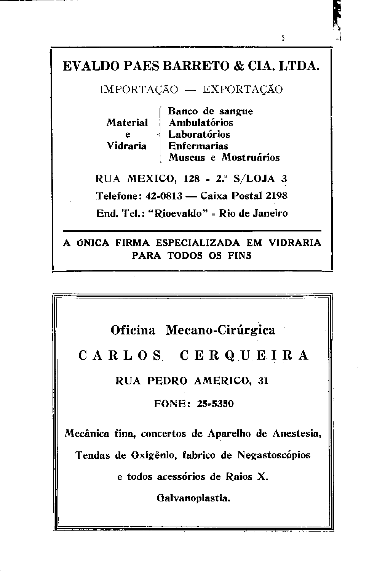

्रै

PARA TODOS OS FINS

Oficina Mecano-Cirúrgica CARLOS CERQUEIRA RUA PEDRO AMERICO, 31 FONE: 25-5350

Mecânica fina, concertos de Aparelho de Anestesia, Tendas de Oxigênio, fabrico de Negastoscópios

e todos acessórios de Raios X.

Galvanoplastia.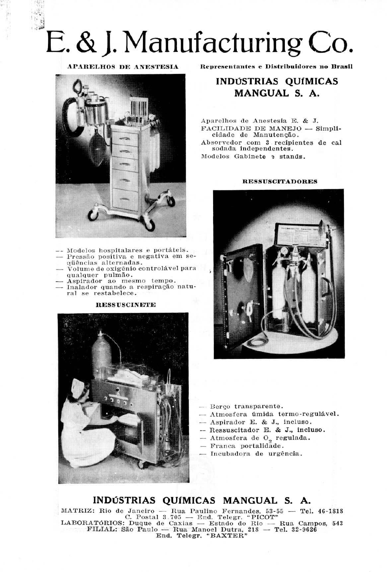## E. & J. Manufacturing Co.

**APARELHOS DE ANESTESIA** 



- -- Modelos hospitalares e portáteis.
- Pressão positiva e negativa em seqüências alternadas.
- $\overline{\phantom{a}}$  volume de oxigênio controlável para qualquer pulmão.
- Aspirador ao mesmo tempo.
- Inalador quando a respiração natural se restabelece.

Representantes e Distribuidores no Brasil

### INDÚSTRIAS QUÍMICAS MANGUAL S. A.

Aparelhos de Anestesia E. & J. FACILIDADE DE MANEJO — Simplicidade de Manutenção. Absorvedor com 3 recipientes de cal sodada independentes. Modelos Gabinete ? stands.

### **RESSUSCITADORES**



### **RESSUSCINETE**



- Berço transparente.
- Atmosfera úmida termo-regulável.
- Aspirador E. & J., incluso.
- Ressuscitador E. & J., incluso.
- Atmosfera de O<sub>9</sub> regulada.
- Franca portalidade.
- Incubadora de urgência.

### INDÚSTRIAS QUÍMICAS MANGUAL S. A.

MATRIZ: Rio de Janeiro — Rua Paulino Fernandes, 53-55 — Tel. 46-1818 C. Postal 3.705 - End. Telegr. "PICOT" LABORATÓRIOS: Duque de Caxias — Estado do Rio — Rua Campos, 543 FILIAL: São Paulo — Rua Manoel Dutra, 218 — Tel. 32-9626 End. Telegr. "BAXTER"